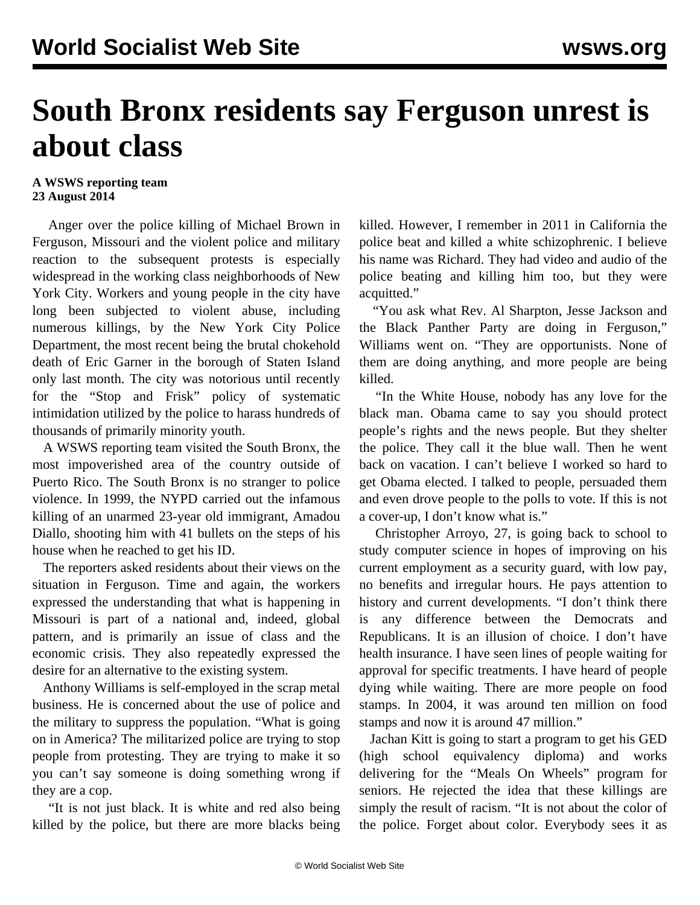## **South Bronx residents say Ferguson unrest is about class**

## **A WSWS reporting team 23 August 2014**

 Anger over the police killing of Michael Brown in Ferguson, Missouri and the violent police and military reaction to the subsequent protests is especially widespread in the working class neighborhoods of New York City. Workers and young people in the city have long been subjected to violent abuse, including numerous killings, by the New York City Police Department, the most recent being the brutal chokehold death of Eric Garner in the borough of Staten Island only last month. The city was notorious until recently for the "Stop and Frisk" policy of systematic intimidation utilized by the police to harass hundreds of thousands of primarily minority youth.

 A WSWS reporting team visited the South Bronx, the most impoverished area of the country outside of Puerto Rico. The South Bronx is no stranger to police violence. In 1999, the NYPD carried out the infamous killing of an unarmed 23-year old immigrant, Amadou Diallo, shooting him with 41 bullets on the steps of his house when he reached to get his ID.

 The reporters asked residents about their views on the situation in Ferguson. Time and again, the workers expressed the understanding that what is happening in Missouri is part of a national and, indeed, global pattern, and is primarily an issue of class and the economic crisis. They also repeatedly expressed the desire for an alternative to the existing system.

 Anthony Williams is self-employed in the scrap metal business. He is concerned about the use of police and the military to suppress the population. "What is going on in America? The militarized police are trying to stop people from protesting. They are trying to make it so you can't say someone is doing something wrong if they are a cop.

 "It is not just black. It is white and red also being killed by the police, but there are more blacks being killed. However, I remember in 2011 in California the police beat and killed a white schizophrenic. I believe his name was Richard. They had video and audio of the police beating and killing him too, but they were acquitted."

 "You ask what Rev. Al Sharpton, Jesse Jackson and the Black Panther Party are doing in Ferguson," Williams went on. "They are opportunists. None of them are doing anything, and more people are being killed.

 "In the White House, nobody has any love for the black man. Obama came to say you should protect people's rights and the news people. But they shelter the police. They call it the blue wall. Then he went back on vacation. I can't believe I worked so hard to get Obama elected. I talked to people, persuaded them and even drove people to the polls to vote. If this is not a cover-up, I don't know what is."

 Christopher Arroyo, 27, is going back to school to study computer science in hopes of improving on his current employment as a security guard, with low pay, no benefits and irregular hours. He pays attention to history and current developments. "I don't think there is any difference between the Democrats and Republicans. It is an illusion of choice. I don't have health insurance. I have seen lines of people waiting for approval for specific treatments. I have heard of people dying while waiting. There are more people on food stamps. In 2004, it was around ten million on food stamps and now it is around 47 million."

 Jachan Kitt is going to start a program to get his GED (high school equivalency diploma) and works delivering for the "Meals On Wheels" program for seniors. He rejected the idea that these killings are simply the result of racism. "It is not about the color of the police. Forget about color. Everybody sees it as